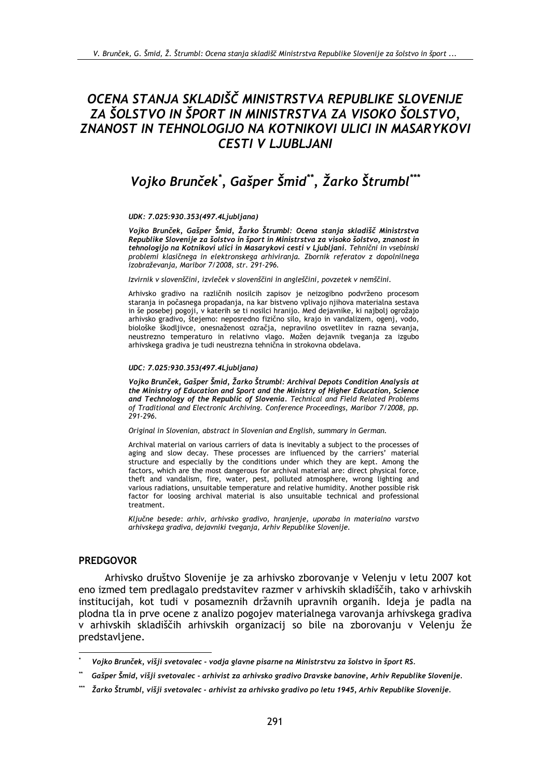# OCENA STANJA SKLADIŠČ MINISTRSTVA REPUBLIKE SLOVENIJE ZA ŠOLSTVO IN ŠPORT IN MINISTRSTVA ZA VISOKO ŠOLSTVO, ZNANOST IN TEHNOLOGIJO NA KOTNIKOVI ULICI IN MASARYKOVI **CESTI V LJUBLJANI**

# Vojko Brunček\*, Gašper Šmid\*\*, Žarko Štrumbl\*\*\*

#### UDK: 7.025:930.353(497.4Liubliana)

Vojko Brunček, Gašper Šmid, Žarko Štrumbl: Ocena stanja skladišč Ministrstva Republike Slovenije za šolstvo in šport in Ministrstva za visoko šolstvo, znanost in tehnologijo na Kotnikovi ulici in Masarykovi cesti v Ljubljani. Tehnični in vsebinski problemi klasičnega in elektronskega arhiviranja. Zbornik referatov z dopolnilnega izobraževanja, Maribor 7/2008, str. 291-296.

#### Izvirnik v slovenščini, izvleček v slovenščini in angleščini, povzetek v nemščini.

Arhivsko gradivo na različnih nosilcih zapisov je neizogibno podvrženo procesom staranja in počasnega propadanja, na kar bistveno vplivajo njihova materialna sestava in še posebej pogoji, v katerih se ti nosilci hranijo. Med dejavnike, ki najbolj ogrožajo arhivsko gradivo, štejemo: neposredno fizično silo, krajo in vandalizem, ogenj, vodo, biološke škodljivce, onesnaženost ozračja, nepravilno osvetlitev in razna sevanja, neustrezno temperaturo in relativno vlago. Možen dejavnik tveganja za izgubo arhivskega gradiva je tudi neustrezna tehnična in strokovna obdelava.

#### UDC: 7.025:930.353(497.4Ljubljana)

Vojko Brunček, Gašper Šmid, Žarko Štrumbl: Archival Depots Condition Analysis at the Ministry of Education and Sport and the Ministry of Higher Education, Science and Technology of the Republic of Slovenia. Technical and Field Related Problems of Traditional and Electronic Archiving. Conference Proceedings, Maribor 7/2008, pp. 291-296.

Original in Slovenian, abstract in Slovenian and English, summary in German.

Archival material on various carriers of data is inevitably a subject to the processes of aging and slow decay. These processes are influenced by the carriers' material structure and especially by the conditions under which they are kept. Among the factors, which are the most dangerous for archival material are: direct physical force, theft and vandalism, fire, water, pest, polluted atmosphere, wrong lighting and various radiations, unsuitable temperature and relative humidity. Another possible risk factor for loosing archival material is also unsuitable technical and professional treatment.

Ključne besede: arhiv, arhivsko gradivo, hranjenje, uporaba in materialno varstvo arhivskega gradiva, dejavniki tveganja, Arhiv Republike Slovenije.

#### **PREDGOVOR**

Arhivsko društvo Slovenije je za arhivsko zborovanje v Velenju v letu 2007 kot eno izmed tem predlagalo predstavitev razmer v arhivskih skladiščih, tako v arhivskih institucijah, kot tudi v posameznih državnih upravnih organih. Ideja je padla na plodna tla in prve ocene z analizo pogojev materialnega varovanja arhivskega gradiva v arhivskih skladiščih arhivskih organizacij so bile na zborovanju v Velenju že predstavljene.

Vojko Brunček, višji svetovalec - vodja glavne pisarne na Ministrstvu za šolstvo in šport RS.

Gašper Šmid, višji svetovalec - arhivist za arhivsko gradivo Dravske banovine, Arhiv Republike Slovenije.

Žarko Štrumbl, višji svetovalec - arhivist za arhivsko gradivo po letu 1945, Arhiv Republike Slovenije.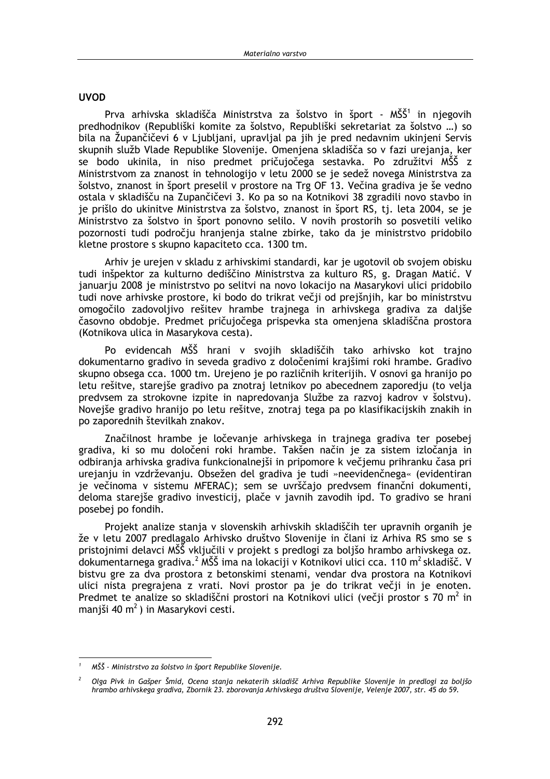### **UVOD**

Prva arhivska skladišča Ministrstva za šolstvo in šport - MŠŠ<sup>1</sup> in njegovih predhodnikov (Republiški komite za šolstvo, Republiški sekretariat za šolstvo ...) so bila na Župančičevi 6 v Ljubljani, upravljal pa jih je pred nedavnim ukinjeni Servis skupnih služb Vlade Republike Slovenije. Omenjena skladišča so v fazi urejanja, ker se bodo ukinila, in niso predmet pričujočega sestavka. Po združitvi MŠŠ z Ministrstvom za znanost in tehnologijo v letu 2000 se je sedež novega Ministrstva za šolstvo, znanost in šport preselil v prostore na Trg OF 13. Večina gradiva je še vedno ostala v skladišču na Zupančičevi 3. Ko pa so na Kotnikovi 38 zgradili novo stavbo in je prišlo do ukinitve Ministrstva za šolstvo, znanost in šport RS, tj. leta 2004, se je Ministrstvo za šolstvo in šport ponovno selilo. V novih prostorih so posvetili veliko pozornosti tudi področju hranjenja stalne zbirke, tako da je ministrstvo pridobilo kletne prostore s skupno kapaciteto cca. 1300 tm.

Arhiv je urejen v skladu z arhivskimi standardi, kar je ugotovil ob svojem obisku tudi inšpektor za kulturno dediščino Ministrstva za kulturo RS, g. Dragan Matić. V januarju 2008 je ministrstvo po selitvi na novo lokacijo na Masarykovi ulici pridobilo tudi nove arhivske prostore, ki bodo do trikrat večji od prejšnjih, kar bo ministrstvu omogočilo zadovoljivo rešitev hrambe trajnega in arhivskega gradiva za daljše časovno obdobje. Predmet pričujočega prispevka sta omenjena skladiščna prostora (Kotnikova ulica in Masarykova cesta).

Po evidencah MŠŠ hrani v svojih skladiščih tako arhivsko kot trajno dokumentarno gradivo in seveda gradivo z določenimi krajšimi roki hrambe. Gradivo skupno obsega cca. 1000 tm. Urejeno je po različnih kriterijih. V osnovi ga hranijo po letu rešitve, starejše gradivo pa znotraj letnikov po abecednem zaporedju (to velja predvsem za strokovne izpite in napredovania Službe za razvoj kadrov v šolstvu). Novejše gradivo hranijo po letu rešitve, znotraj tega pa po klasifikacijskih znakih in po zaporednih številkah znakov.

Značilnost hrambe je ločevanje arhivskega in trajnega gradiva ter posebej gradiva, ki so mu določeni roki hrambe. Takšen način je za sistem izločanja in odbiranja arhivska gradiva funkcionalnejši in pripomore k večjemu prihranku časa pri urejanju in vzdrževanju. Obsežen del gradiva je tudi »neevidenčnega« (evidentiran je večinoma v sistemu MFERAC); sem se uvrščajo predvsem finančni dokumenti, deloma starejše gradivo investicij, plače v javnih zavodih jpd. To gradivo se hranj posebej po fondih.

Projekt analize stanja v slovenskih arhivskih skladiščih ter upravnih organih je že v letu 2007 predlagalo Arhivsko društvo Slovenije in člani iz Arhiva RS smo se s pristojnimi delavci MŠŠ vključili v projekt s predlogi za boljšo hrambo arhivskega oz. dokumentarnega gradiva.<sup>2</sup> MŠŠ ima na lokaciji v Kotnikovi ulici cca. 110 m<sup>2</sup> skladišč. V bistvu gre za dva prostora z betonskimi stenami, vendar dva prostora na Kotnikovi ulici nista pregrajena z vrati. Novi prostor pa je do trikrat večji in je enoten. Predmet te analize so skladiščni prostori na Kotnikovi ulici (večji prostor s 70 m<sup>2</sup> in manjši 40 m<sup>2</sup>) in Masarykovi cesti.

MŠŠ - Ministrstvo za šolstvo in šport Republike Slovenije.

Olga Pivk in Gašper Šmid, Ocena stanja nekaterih skladišč Arhiva Republike Slovenije in predlogi za boljšo hrambo arhivskega gradiva, Zbornik 23. zborovanja Arhivskega društva Slovenije, Velenje 2007, str. 45 do 59.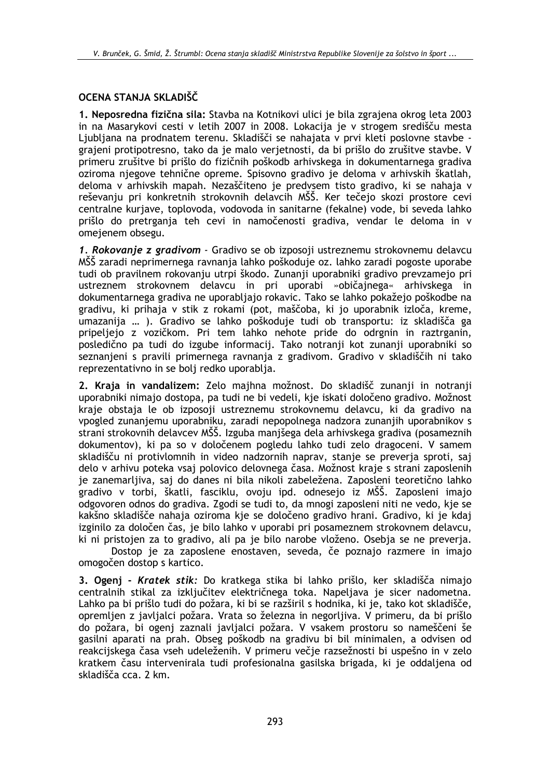## OCENA STANJA SKLADIŠČ

1. Neposredna fizična sila: Stavba na Kotnikovi ulici je bila zgrajena okrog leta 2003 in na Masarykovi cesti v letih 2007 in 2008. Lokacija je v strogem središču mesta Liubliana na prodnatem terenu. Skladišči se nahajata v prvi kleti poslovne stavbe grajeni protipotresno, tako da je malo verjetnosti, da bi prišlo do zrušitve stavbe. V primeru zrušitve bi prišlo do fizičnih poškodb arhivskega in dokumentarnega gradiva oziroma njegove tehnične opreme. Spisovno gradivo je deloma v arhivskih škatlah, deloma v arhivskih mapah. Nezaščiteno je predvsem tisto gradivo, ki se nahaja v reševanju pri konkretnih strokovnih delavcih MŠŠ. Ker tečejo skozi prostore cevi centralne kurjave, toplovoda, vodovoda in sanitarne (fekalne) vode, bi seveda lahko prišlo do pretrganja teh cevi in namočenosti gradiva, vendar le deloma in v omejenem obsegu.

1. Rokovanje z gradivom - Gradivo se ob izposoji ustreznemu strokovnemu delavcu MŠŠ zaradi neprimernega ravnanja lahko poškoduje oz. lahko zaradi pogoste uporabe tudi ob pravilnem rokovanju utrpi škodo. Zunanji uporabniki gradivo prevzamejo pri ustreznem strokovnem delavcu in pri uporabi »običajnega« arhivskega in dokumentarnega gradiva ne uporabljajo rokavic. Tako se lahko pokažejo poškodbe na gradivu, ki prihaja v stik z rokami (pot, maščoba, ki jo uporabnik izloča, kreme, umazanija ... ). Gradivo se lahko poškoduje tudi ob transportu: iz skladišča ga pripeljejo z vozičkom. Pri tem lahko nehote pride do odrgnin in raztrganin, posledično pa tudi do izgube informacij. Tako notranji kot zunanji uporabniki so seznanjeni s pravili primernega ravnanja z gradivom. Gradivo v skladiščih ni tako reprezentativno in se bolj redko uporablja.

2. Kraja in vandalizem: Zelo majhna možnost. Do skladišč zunanji in notranji uporabniki nimajo dostopa, pa tudi ne bi vedeli, kie iskati določeno gradivo. Možnost kraje obstaja le ob izposoji ustreznemu strokovnemu delavcu, ki da gradivo na vpogled zunanjemu uporabniku, zaradi nepopolnega nadzora zunanjih uporabnikov s strani strokovnih delavcev MŠŠ. Izguba manišega dela arhivskega gradiva (posameznih dokumentov), ki pa so v določenem pogledu lahko tudi zelo dragoceni. V samem skladišču ni protivlomnih in video nadzornih naprav, stanie se preveria sproti, saj delo v arhivu poteka vsaj polovico delovnega časa. Možnost kraje s strani zaposlenih je zanemarlijva, saj do danes ni bila nikoli zabeležena. Zaposleni teoretično lahko gradivo v torbi, škatli, fasciklu, ovoju ipd. odnesejo iz MŠŠ. Zaposleni imajo odgovoren odnos do gradiva. Zgodi se tudi to, da mnogi zaposleni niti ne vedo, kje se kakšno skladišče nahaja oziroma kje se določeno gradivo hrani. Gradivo, ki je kdaj izginilo za določen čas, je bilo lahko v uporabi pri posameznem strokovnem delavcu, ki ni pristojen za to gradivo, ali pa je bilo narobe vloženo. Osebja se ne preverja.

Dostop je za zaposlene enostaven, seveda, če poznajo razmere in imajo omogočen dostop s kartico.

3. Ogenj - Kratek stik: Do kratkega stika bi lahko prišlo, ker skladišča nimajo centralnih stikal za izključitev električnega toka. Napeljava je sicer nadometna. Lahko pa bi prišlo tudi do požara, ki bi se razširil s hodnika, ki je, tako kot skladišče, opremljen z javljalci požara. Vrata so železna in negorljiva. V primeru, da bi prišlo do požara, bi ogenj zaznali javljalci požara. V vsakem prostoru so nameščeni še gasilni aparati na prah. Obseg poškodb na gradivu bi bil minimalen, a odvisen od reakcijskega časa vseh udeleženih. V primeru večje razsežnosti bi uspešno in v zelo kratkem času intervenirala tudi profesionalna gasilska brigada, ki je oddaljena od skladišča cca. 2 km.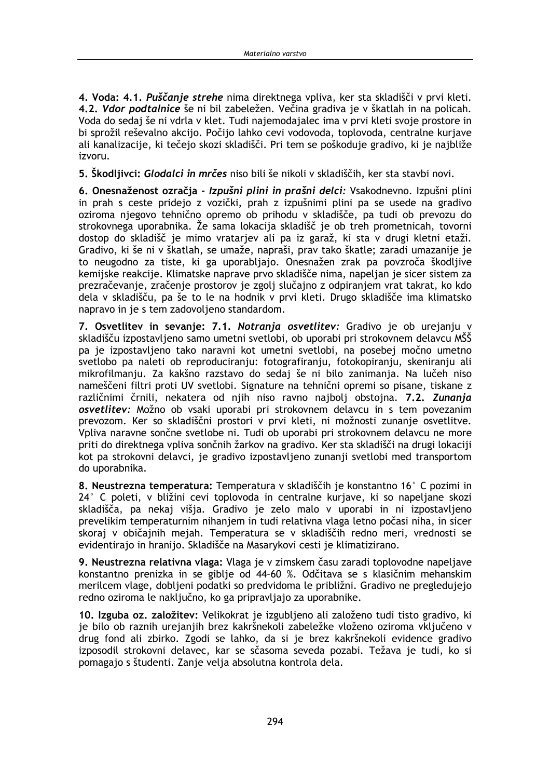4. Voda: 4.1. Puščanie strehe nima direktnega vpliva, ker sta skladišči v prvi kleti. 4.2. Vdor podtalnice še ni bil zabeležen. Večina gradiva je v škatlah in na policah. Voda do sedaj še ni vdrla v klet. Tudi najemodajalec ima v prvi kleti svoje prostore in bi sprožil reševalno akcijo. Počijo lahko cevi vodovoda, toplovoda, centralne kurjave ali kanalizacije, ki tečejo skozi skladišči. Pri tem se poškoduje gradivo, ki je najbliže izvoru.

5. Skodljivci: Glodalci in mrčes niso bili še nikoli v skladiščih, ker sta stavbi novi.

6. Onesnaženost ozračja - Izpušni plini in prašni delci: Vsakodnevno. Izpušni plini in prah s ceste pridejo z vozički, prah z izpušnimi plini pa se usede na gradivo oziroma njegovo tehnično opremo ob prihodu v skladišče, pa tudi ob prevozu do strokovnega uporabnika. Že sama lokacija skladišč je ob treh prometnicah, tovorni dostop do skladišč je mimo vratarjev ali pa iz garaž, ki sta v drugi kletni etaži. Gradivo, ki še ni v škatlah, se umaže, napraši, prav tako škatle; zaradi umazanije je to neugodno za tiste, ki ga uporabliajo. Onesnažen zrak pa povzroča škodljive kemijske reakcije. Klimatske naprave prvo skladišče nima, napeljan je sicer sistem za prezračevanje, zračenje prostorov je zgolj slučajno z odpiranjem vrat takrat, ko kdo dela v skladišču, pa še to le na hodnik v prvi kleti. Drugo skladišče ima klimatsko napravo in je s tem zadovoljeno standardom.

7. Osvetlitev in sevanje: 7.1. Notranja osvetlitev: Gradivo je ob urejanju v skladišču izpostavljeno samo umetni svetlobi, ob uporabi pri strokovnem delavcu MŠŠ pa je izpostavljeno tako naravni kot umetni svetlobi, na posebej močno umetno svetlobo pa naleti ob reproduciranju: fotografiranju, fotokopiranju, skeniranju ali mikrofilmanju. Za kakšno razstavo do sedaj še ni bilo zanimanja. Na lučeh niso nameščeni filtri proti UV svetlobi. Signature na tehnični opremi so pisane, tiskane z različnimi črnili, nekatera od njih niso ravno najbolj obstojna. 7.2. Zunanja osvetlitev: Možno ob vsaki uporabi pri strokovnem delavcu in s tem povezanim prevozom. Ker so skladiščni prostori v prvi kleti, ni možnosti zunanje osvetlitve. Vpliva naravne sončne svetlobe ni. Tudi ob uporabi pri strokovnem delavcu ne more priti do direktnega vpliva sončnih žarkov na gradivo. Ker sta skladišči na drugi lokaciji kot pa strokovni delavci, je gradivo izpostavljeno zunanji svetlobi med transportom do uporabnika.

8. Neustrezna temperatura: Temperatura y skladiščih je konstantno 16° C pozimi in 24° C poleti, v bližini cevi toplovoda in centralne kurjave, ki so napeljane skozi skladišča, pa nekaj višja. Gradivo je zelo malo v uporabi in ni izpostavljeno prevelikim temperaturnim nihanjem in tudi relativna vlaga letno počasi niha, in sicer skoraj v običajnih mejah. Temperatura se v skladiščih redno meri, vrednosti se evidentirajo in hranijo. Skladišče na Masarykovi cesti je klimatizirano.

9. Neustrezna relativna vlaga: Vlaga je v zimskem času zaradi toplovodne napeljave konstantno prenizka in se giblje od 44-60 %. Odčitava se s klasičnim mehanskim merilcem vlage, dobljeni podatki so predvidoma le približni. Gradivo ne pregledujejo redno oziroma le naključno, ko ga pripravljajo za uporabnike.

10. Izguba oz. založitev: Velikokrat je izgubljeno ali založeno tudi tisto gradivo, ki je bilo ob raznih urejanjih brez kakršnekoli zabeležke vloženo oziroma vključeno v drug fond ali zbirko. Zgodi se lahko, da si je brez kakršnekoli evidence gradivo izposodil strokovni delavec, kar se sčasoma seveda pozabi. Težava je tudi, ko si pomagajo s študenti. Zanje velja absolutna kontrola dela.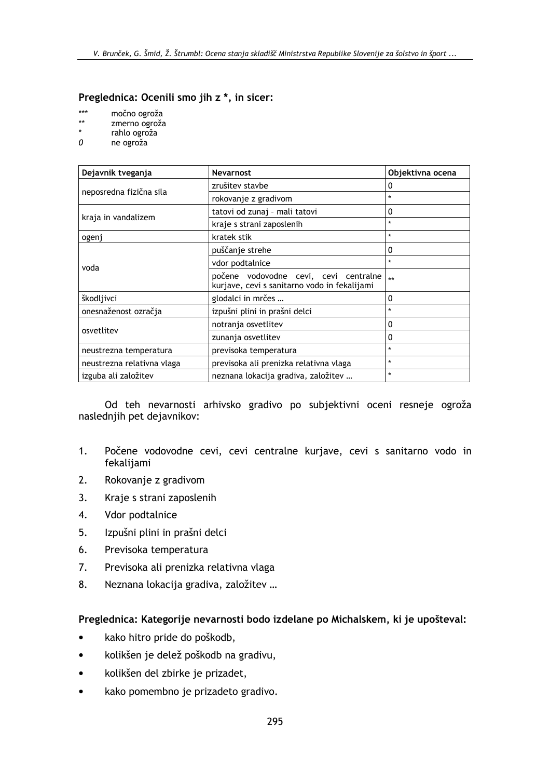### Preglednica: Ocenili smo jih z \*, in sicer:

- $***$ močno ogroža
- $\star\star$ zmerno ogroža
- $\star$ rahlo ogroža
- $\mathcal{O}$ ne ogroža

| Dejavnik tveganja          | <b>Nevarnost</b>                                                                      | Objektivna ocena |
|----------------------------|---------------------------------------------------------------------------------------|------------------|
| neposredna fizična sila    | zrušitev stavbe                                                                       | 0                |
|                            | rokovanje z gradivom                                                                  | $\star$          |
| kraja in vandalizem        | tatovi od zunaj - mali tatovi                                                         | 0                |
|                            | kraje s strani zaposlenih                                                             | $\star$          |
| ogenj                      | kratek stik                                                                           | $\star$          |
| voda                       | puščanje strehe                                                                       | $\mathbf{0}$     |
|                            | vdor podtalnice                                                                       | $\star$          |
|                            | počene vodovodne cevi, cevi centralne<br>kurjave, cevi s sanitarno vodo in fekalijami | $\star\star$     |
| škodljivci                 | glodalci in mrčes                                                                     | 0                |
| onesnaženost ozračja       | izpušni plini in prašni delci                                                         | $\star$          |
| osvetlitev                 | notranja osvetlitev                                                                   | 0                |
|                            | zunanja osvetlitev                                                                    | 0                |
| neustrezna temperatura     | previsoka temperatura                                                                 | $\star$          |
| neustrezna relativna vlaga | previsoka ali prenizka relativna vlaga                                                | $\star$          |
| izguba ali založitev       | neznana lokacija gradiva, založitev                                                   | $\star$          |

Od teh nevarnosti arhivsko gradivo po subjektivni oceni resneje ogroža naslednjih pet dejavnikov:

- $1.$ Počene vodovodne cevi, cevi centralne kurjave, cevi s sanitarno vodo in fekalijami
- $2.$ Rokovanje z gradivom
- $3<sub>1</sub>$ Kraje s strani zaposlenih
- 4. Vdor podtalnice
- $5<sub>1</sub>$ Izpušni plini in prašni delci
- 6. Previsoka temperatura
- 7. Previsoka ali prenizka relativna vlaga
- Neznana lokacija gradiva, založitev ... 8.

## Preglednica: Kategorije nevarnosti bodo izdelane po Michalskem, ki je upošteval:

- kako hitro pride do poškodb,
- kolikšen je delež poškodb na gradivu,
- kolikšen del zbirke je prizadet,
- kako pomembno je prizadeto gradivo.  $\bullet$